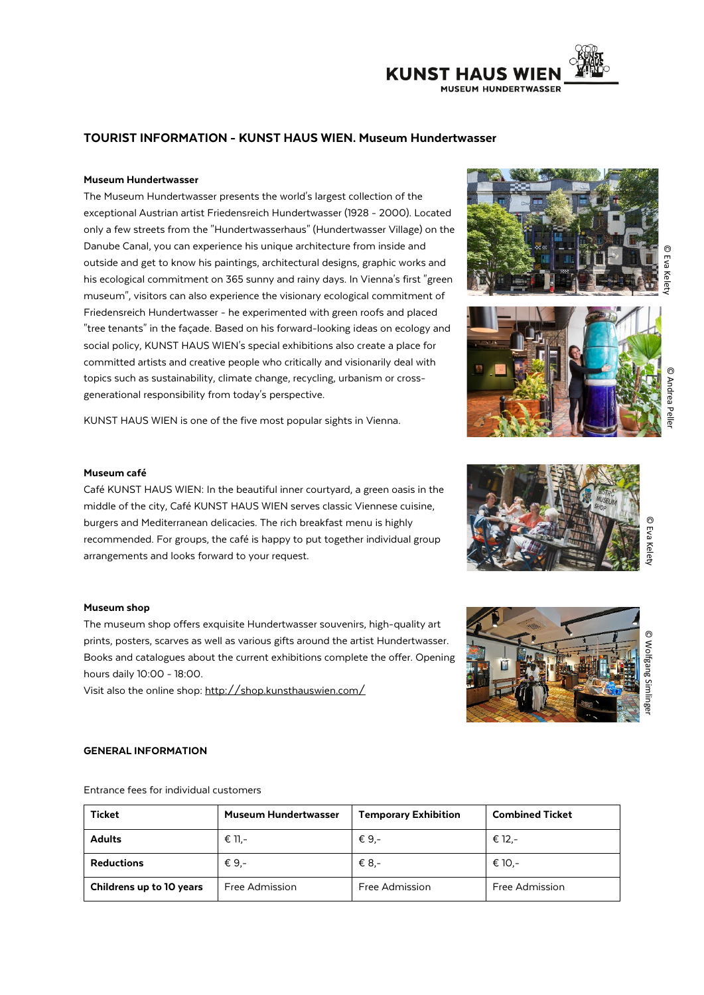# **KUNST HAUS WIEN MUSEUM HUNDERTWASSER**

## TOURIST INFORMATION - KUNST HAUS WIEN. Museum Hundertwasser

#### Museum Hundertwasser

The Museum Hundertwasser presents the world's largest collection of the exceptional Austrian artist Friedensreich Hundertwasser (1928 - 2000). Located only a few streets from the "Hundertwasserhaus" (Hundertwasser Village) on the Danube Canal, you can experience his unique architecture from inside and outside and get to know his paintings, architectural designs, graphic works and his ecological commitment on 365 sunny and rainy days. In Vienna's first "green museum", visitors can also experience the visionary ecological commitment of Friedensreich Hundertwasser - he experimented with green roofs and placed "tree tenants" in the façade. Based on his forward-looking ideas on ecology and social policy, KUNST HAUS WIEN's special exhibitions also create a place for committed artists and creative people who critically and visionarily deal with topics such as sustainability, climate change, recycling, urbanism or crossgenerational responsibility from today's perspective.

KUNST HAUS WIEN is one of the five most popular sights in Vienna.

#### Museum café

Café KUNST HAUS WIEN: In the beautiful inner courtyard, a green oasis in the middle of the city, Café KUNST HAUS WIEN serves classic Viennese cuisine, burgers and Mediterranean delicacies. The rich breakfast menu is highly recommended. For groups, the café is happy to put together individual group arrangements and looks forward to your request.

#### Museum shop

The museum shop offers exquisite Hundertwasser souvenirs, high-quality art prints, posters, scarves as well as various gifts around the artist Hundertwasser. Books and catalogues about the current exhibitions complete the offer. Opening hours daily 10:00 - 18:00.

Visit also the online shop[: http://shop.kunsthauswien.com/](http://shop.kunsthauswien.com/)

#### GENERAL INFORMATION

Entrance fees for individual customers

| <b>Ticket</b>            | <b>Museum Hundertwasser</b> | <b>Temporary Exhibition</b> | <b>Combined Ticket</b> |
|--------------------------|-----------------------------|-----------------------------|------------------------|
| <b>Adults</b>            | € 11.-                      | € 9.-                       | € 12.-                 |
| <b>Reductions</b>        | € 9.-                       | € 8.-                       | € 10.-                 |
| Childrens up to 10 years | Free Admission              | Free Admission              | Free Admission         |









© Wolfgang Simlinger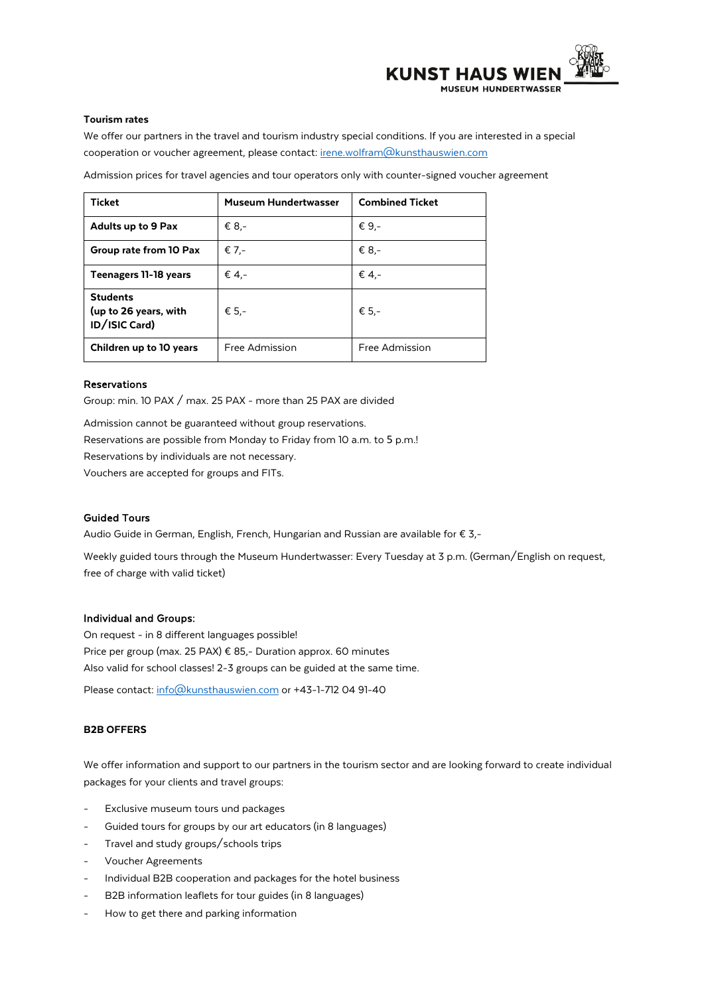

#### Tourism rates

We offer our partners in the travel and tourism industry special conditions. If you are interested in a special cooperation or voucher agreement, please contact: [irene.wolfram@kunsthauswien.com](mailto:irene.wolfram@kunsthauswien.com)

Admission prices for travel agencies and tour operators only with counter-signed voucher agreement

| <b>Ticket</b>                                             | <b>Museum Hundertwasser</b> | <b>Combined Ticket</b> |
|-----------------------------------------------------------|-----------------------------|------------------------|
| <b>Adults up to 9 Pax</b>                                 | € 8.-                       | € 9.-                  |
| Group rate from 10 Pax                                    | € 7.-                       | € 8.-                  |
| Teenagers 11-18 years                                     | € 4.-                       | € 4,-                  |
| <b>Students</b><br>(up to 26 years, with<br>ID/ISIC Card) | € 5.-                       | € 5.-                  |
| Children up to 10 years                                   | Free Admission              | Free Admission         |

### Reservations

Group: min. 10 PAX / max. 25 PAX - more than 25 PAX are divided

Admission cannot be guaranteed without group reservations. Reservations are possible from Monday to Friday from 10 a.m. to 5 p.m.! Reservations by individuals are not necessary. Vouchers are accepted for groups and FITs.

#### Guided Tours

Audio Guide in German, English, French, Hungarian and Russian are available for € 3,-

Weekly guided tours through the Museum Hundertwasser: Every Tuesday at 3 p.m. (German/English on request, free of charge with valid ticket)

### Individual and Groups:

On request - in 8 different languages possible! Price per group (max. 25 PAX) € 85,- Duration approx. 60 minutes Also valid for school classes! 2-3 groups can be guided at the same time.

Please contact[: info@kunsthauswien.com](mailto:info@kunsthauswien.com) or +43-1-712 04 91-40

#### B2B OFFERS

We offer information and support to our partners in the tourism sector and are looking forward to create individual packages for your clients and travel groups:

- Exclusive museum tours und packages
- Guided tours for groups by our art educators (in 8 languages)
- Travel and study groups/schools trips
- Voucher Agreements
- Individual B2B cooperation and packages for the hotel business
- B2B information leaflets for tour guides (in 8 languages)
- How to get there and parking information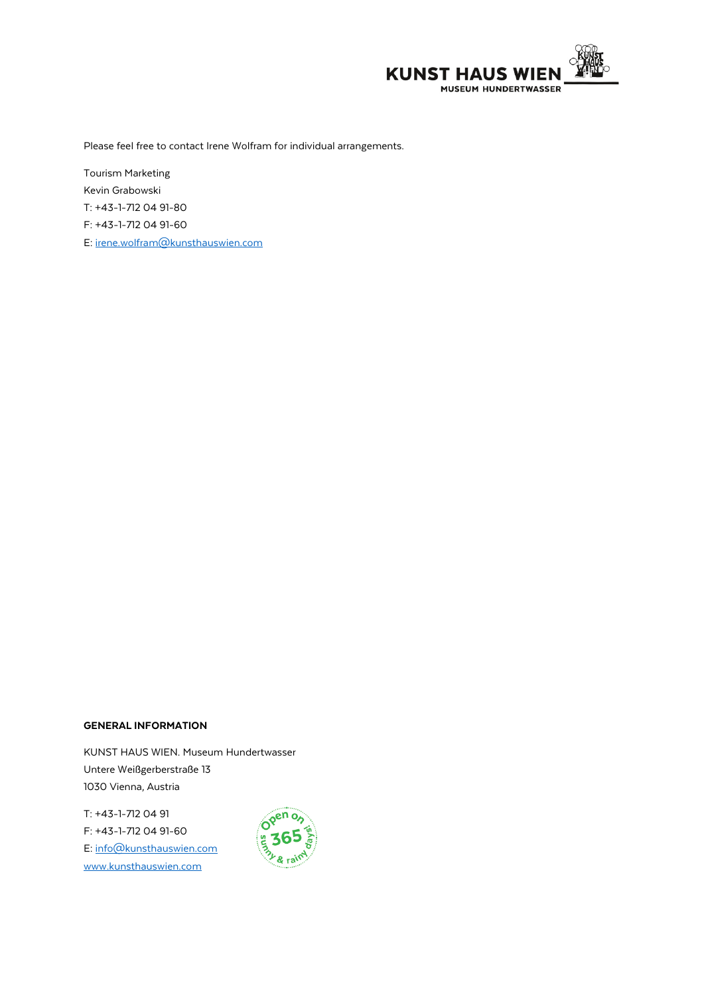

Please feel free to contact Irene Wolfram for individual arrangements.

Tourism Marketing Kevin Grabowski T: +43-1-712 04 91-80 F: +43-1-712 04 91-60 E[: irene.wolfram@kunsthauswien.com](mailto:irene.wolfram@kunsthauswien.com)

#### GENERAL INFORMATION

KUNST HAUS WIEN. Museum Hundertwasser Untere Weißgerberstraße 13 1030 Vienna, Austria

T: +43-1-712 04 91 F: +43-1-712 04 91-60 E[: info@kunsthauswien.com](mailto:info@kunsthauswien.com) [www.kunsthauswien.com](http://www.kunsthauswien.com/)